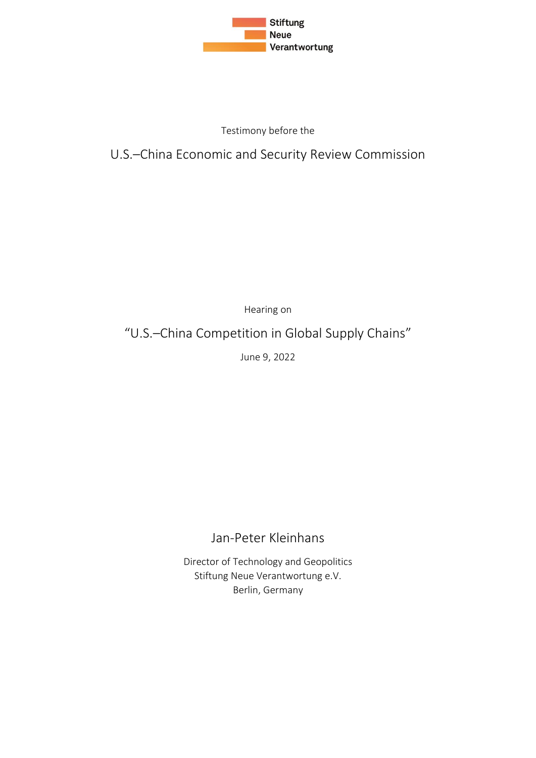

### Testimony before the

### U.S.–China Economic and Security Review Commission

Hearing on

# "U.S.–China Competition in Global Supply Chains"

June 9, 2022

### Jan-Peter Kleinhans

Director of Technology and Geopolitics Stiftung Neue Verantwortung e.V. Berlin, Germany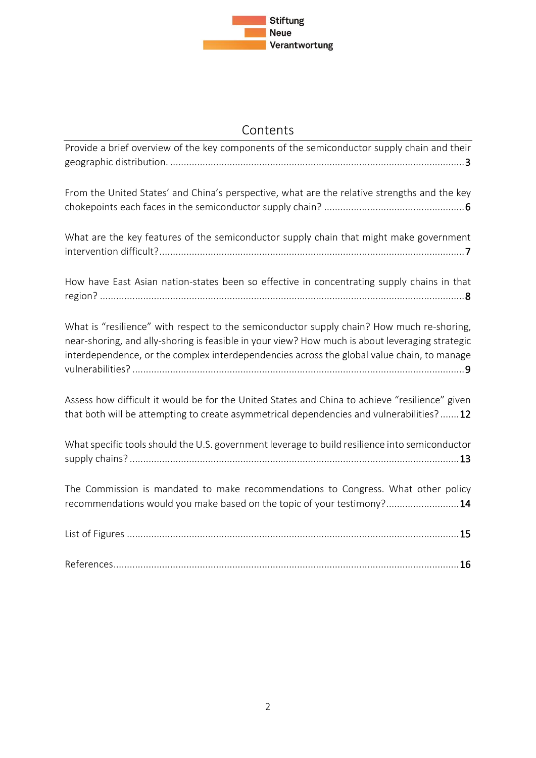

## Contents

| Provide a brief overview of the key components of the semiconductor supply chain and their                                                                                                                                                                                                 |
|--------------------------------------------------------------------------------------------------------------------------------------------------------------------------------------------------------------------------------------------------------------------------------------------|
| From the United States' and China's perspective, what are the relative strengths and the key                                                                                                                                                                                               |
| What are the key features of the semiconductor supply chain that might make government                                                                                                                                                                                                     |
| How have East Asian nation-states been so effective in concentrating supply chains in that                                                                                                                                                                                                 |
| What is "resilience" with respect to the semiconductor supply chain? How much re-shoring,<br>near-shoring, and ally-shoring is feasible in your view? How much is about leveraging strategic<br>interdependence, or the complex interdependencies across the global value chain, to manage |
| Assess how difficult it would be for the United States and China to achieve "resilience" given<br>that both will be attempting to create asymmetrical dependencies and vulnerabilities?12                                                                                                  |
| What specific tools should the U.S. government leverage to build resilience into semiconductor                                                                                                                                                                                             |
| The Commission is mandated to make recommendations to Congress. What other policy<br>recommendations would you make based on the topic of your testimony?14                                                                                                                                |
|                                                                                                                                                                                                                                                                                            |
|                                                                                                                                                                                                                                                                                            |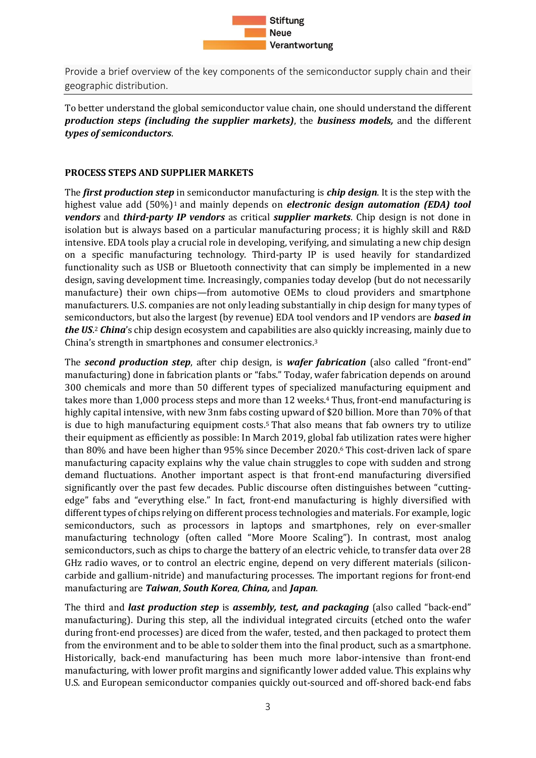

<span id="page-2-0"></span>Provide a brief overview of the key components of the semiconductor supply chain and their geographic distribution.

To better understand the global semiconductor value chain, one should understand the different *production steps (including the supplier markets)*, the *business models,* and the different *types of semiconductors*.

#### **PROCESS STEPS AND SUPPLIER MARKETS**

The *first production step* in semiconductor manufacturing is *chip design*. It is the step with the highest value add (50%)<sup>1</sup> and mainly depends on *electronic design automation (EDA) tool vendors* and *third-party IP vendors* as critical *supplier markets*. Chip design is not done in isolation but is always based on a particular manufacturing process; it is highly skill and R&D intensive. EDA tools play a crucial role in developing, verifying, and simulating a new chip design on a specific manufacturing technology. Third-party IP is used heavily for standardized functionality such as USB or Bluetooth connectivity that can simply be implemented in a new design, saving development time. Increasingly, companies today develop (but do not necessarily manufacture) their own chips—from automotive OEMs to cloud providers and smartphone manufacturers. U.S. companies are not only leading substantially in chip design for many types of semiconductors, but also the largest (by revenue) EDA tool vendors and IP vendors are *based in the US*. <sup>2</sup> *China*'s chip design ecosystem and capabilities are also quickly increasing, mainly due to China's strength in smartphones and consumer electronics.<sup>3</sup>

The *second production step*, after chip design, is *wafer fabrication* (also called "front-end" manufacturing) done in fabrication plants or "fabs." Today, wafer fabrication depends on around 300 chemicals and more than 50 different types of specialized manufacturing equipment and takes more than 1,000 process steps and more than 12 weeks.<sup>4</sup> Thus, front-end manufacturing is highly capital intensive, with new 3nm fabs costing upward of \$20 billion. More than 70% of that is due to high manufacturing equipment costs.<sup>5</sup> That also means that fab owners try to utilize their equipment as efficiently as possible: In March 2019, global fab utilization rates were higher than 80% and have been higher than 95% since December 2020.<sup>6</sup> This cost-driven lack of spare manufacturing capacity explains why the value chain struggles to cope with sudden and strong demand fluctuations. Another important aspect is that front-end manufacturing diversified significantly over the past few decades. Public discourse often distinguishes between "cuttingedge" fabs and "everything else." In fact, front-end manufacturing is highly diversified with different types of chips relying on different process technologies and materials. For example, logic semiconductors, such as processors in laptops and smartphones, rely on ever-smaller manufacturing technology (often called "More Moore Scaling"). In contrast, most analog semiconductors, such as chips to charge the battery of an electric vehicle, to transfer data over 28 GHz radio waves, or to control an electric engine, depend on very different materials (siliconcarbide and gallium-nitride) and manufacturing processes. The important regions for front-end manufacturing are *Taiwan*, *South Korea*, *China,* and *Japan*.

The third and *last production step* is *assembly, test, and packaging* (also called "back-end" manufacturing). During this step, all the individual integrated circuits (etched onto the wafer during front-end processes) are diced from the wafer, tested, and then packaged to protect them from the environment and to be able to solder them into the final product, such as a smartphone. Historically, back-end manufacturing has been much more labor-intensive than front-end manufacturing, with lower profit margins and significantly lower added value. This explains why U.S. and European semiconductor companies quickly out-sourced and off-shored back-end fabs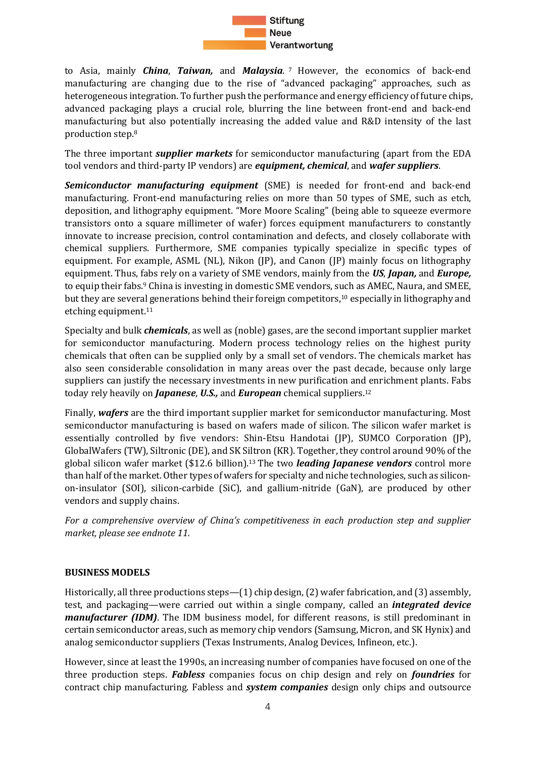

to Asia, mainly *China*, *Taiwan,* and *Malaysia*. <sup>7</sup> However, the economics of back-end manufacturing are changing due to the rise of "advanced packaging" approaches, such as heterogeneous integration. To further push the performance and energy efficiency of future chips, advanced packaging plays a crucial role, blurring the line between front-end and back-end manufacturing but also potentially increasing the added value and R&D intensity of the last production step.<sup>8</sup>

The three important *supplier markets* for semiconductor manufacturing (apart from the EDA tool vendors and third-party IP vendors) are *equipment, chemical*, and *wafer suppliers*.

*Semiconductor manufacturing equipment* (SME) is needed for front-end and back-end manufacturing. Front-end manufacturing relies on more than 50 types of SME, such as etch, deposition, and lithography equipment. "More Moore Scaling" (being able to squeeze evermore transistors onto a square millimeter of wafer) forces equipment manufacturers to constantly innovate to increase precision, control contamination and defects, and closely collaborate with chemical suppliers. Furthermore, SME companies typically specialize in specific types of equipment. For example, ASML (NL), Nikon (JP), and Canon (JP) mainly focus on lithography equipment. Thus, fabs rely on a variety of SME vendors, mainly from the *US*, *Japan,* and *Europe,* to equip their fabs. <sup>9</sup> China is investing in domestic SME vendors, such as AMEC, Naura, and SMEE, but they are several generations behind their foreign competitors, <sup>10</sup> especially in lithography and etching equipment.<sup>11</sup>

Specialty and bulk *chemicals*, as well as (noble) gases, are the second important supplier market for semiconductor manufacturing. Modern process technology relies on the highest purity chemicals that often can be supplied only by a small set of vendors. The chemicals market has also seen considerable consolidation in many areas over the past decade, because only large suppliers can justify the necessary investments in new purification and enrichment plants. Fabs today rely heavily on *Japanese*, *U.S.,* and *European* chemical suppliers.<sup>12</sup>

Finally, *wafers* are the third important supplier market for semiconductor manufacturing. Most semiconductor manufacturing is based on wafers made of silicon. The silicon wafer market is essentially controlled by five vendors: Shin-Etsu Handotai (JP), SUMCO Corporation (JP), GlobalWafers (TW), Siltronic (DE), and SK Siltron (KR). Together, they control around 90% of the global silicon wafer market (\$12.6 billion). <sup>13</sup> The two *leading Japanese vendors* control more than half of the market. Other types of wafers for specialty and niche technologies, such as siliconon-insulator (SOI), silicon-carbide (SiC), and gallium-nitride (GaN), are produced by other vendors and supply chains.

*For a comprehensive overview of China's competitiveness in each production step and supplier market, please see endnote 11.*

#### **BUSINESS MODELS**

Historically, all three productions steps—(1) chip design, (2) wafer fabrication, and (3) assembly, test, and packaging—were carried out within a single company, called an *integrated device manufacturer (IDM)*. The IDM business model, for different reasons, is still predominant in certain semiconductor areas, such as memory chip vendors (Samsung, Micron, and SK Hynix) and analog semiconductor suppliers (Texas Instruments, Analog Devices, Infineon, etc.).

However, since at least the 1990s, an increasing number of companies have focused on one of the three production steps. *Fabless* companies focus on chip design and rely on *foundries* for contract chip manufacturing. Fabless and *system companies* design only chips and outsource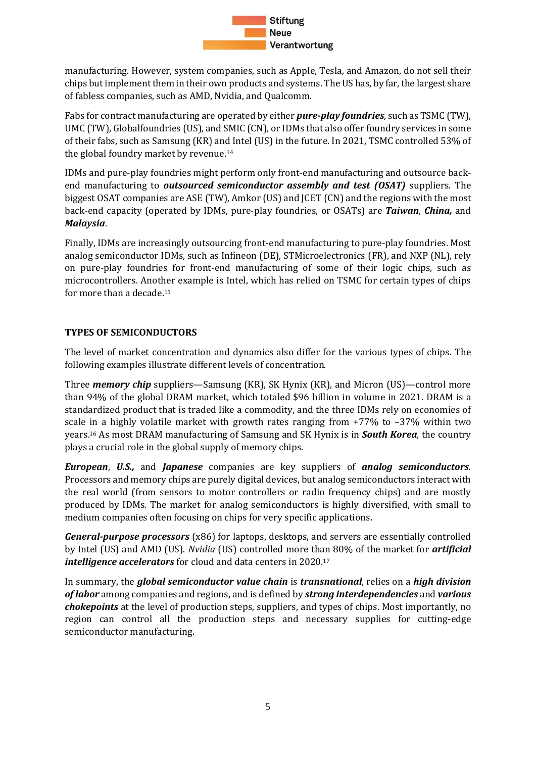

manufacturing. However, system companies, such as Apple, Tesla, and Amazon, do not sell their chips but implement them in their own products and systems. The US has, by far, the largest share of fabless companies, such as AMD, Nvidia, and Qualcomm.

Fabs for contract manufacturing are operated by either *pure-play foundries*, such as TSMC (TW), UMC (TW), Globalfoundries (US), and SMIC (CN), or IDMs that also offer foundry services in some of their fabs, such as Samsung (KR) and Intel (US) in the future. In 2021, TSMC controlled 53% of the global foundry market by revenue. 14

IDMs and pure-play foundries might perform only front-end manufacturing and outsource backend manufacturing to *outsourced semiconductor assembly and test (OSAT)* suppliers. The biggest OSAT companies are ASE (TW), Amkor (US) and JCET (CN) and the regions with the most back-end capacity (operated by IDMs, pure-play foundries, or OSATs) are *Taiwan*, *China,* and *Malaysia*.

Finally, IDMs are increasingly outsourcing front-end manufacturing to pure-play foundries. Most analog semiconductor IDMs, such as Infineon (DE), STMicroelectronics (FR), and NXP (NL), rely on pure-play foundries for front-end manufacturing of some of their logic chips, such as microcontrollers. Another example is Intel, which has relied on TSMC for certain types of chips for more than a decade.<sup>15</sup>

#### **TYPES OF SEMICONDUCTORS**

The level of market concentration and dynamics also differ for the various types of chips. The following examples illustrate different levels of concentration.

Three *memory chip* suppliers—Samsung (KR), SK Hynix (KR), and Micron (US)—control more than 94% of the global DRAM market, which totaled \$96 billion in volume in 2021. DRAM is a standardized product that is traded like a commodity, and the three IDMs rely on economies of scale in a highly volatile market with growth rates ranging from +77% to –37% within two years.<sup>16</sup> As most DRAM manufacturing of Samsung and SK Hynix is in *South Korea*, the country plays a crucial role in the global supply of memory chips.

*European*, *U.S.,* and *Japanese* companies are key suppliers of *analog semiconductors*. Processors and memory chips are purely digital devices, but analog semiconductors interact with the real world (from sensors to motor controllers or radio frequency chips) and are mostly produced by IDMs. The market for analog semiconductors is highly diversified, with small to medium companies often focusing on chips for very specific applications.

*General-purpose processors* (x86) for laptops, desktops, and servers are essentially controlled by Intel (US) and AMD (US). *Nvidia* (US) controlled more than 80% of the market for *artificial intelligence accelerators* for cloud and data centers in 2020. 17

In summary, the *global semiconductor value chain* is *transnational*, relies on a *high division of labor* among companies and regions, and is defined by *strong interdependencies* and *various chokepoints* at the level of production steps, suppliers, and types of chips. Most importantly, no region can control all the production steps and necessary supplies for cutting-edge semiconductor manufacturing.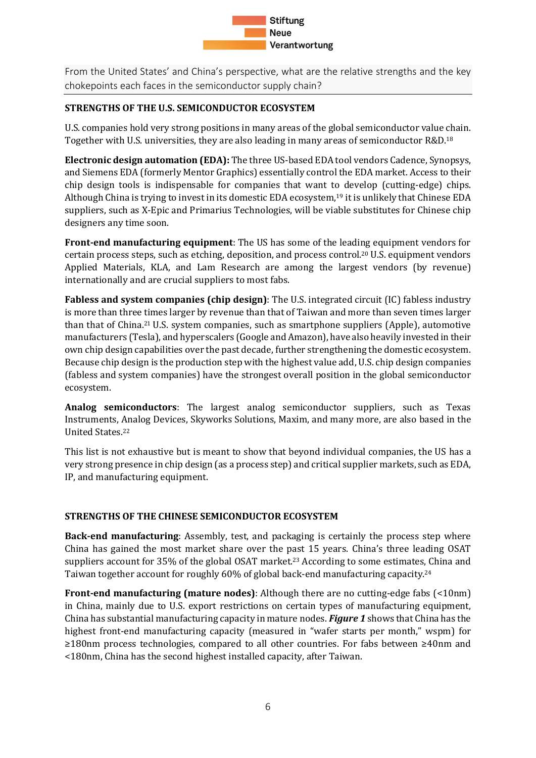

<span id="page-5-0"></span>From the United States' and China's perspective, what are the relative strengths and the key chokepoints each faces in the semiconductor supply chain?

#### **STRENGTHS OF THE U.S. SEMICONDUCTOR ECOSYSTEM**

U.S. companies hold very strong positions in many areas of the global semiconductor value chain. Together with U.S. universities, they are also leading in many areas of semiconductor R&D.<sup>18</sup>

**Electronic design automation (EDA):** The three US-based EDA tool vendors Cadence, Synopsys, and Siemens EDA (formerly Mentor Graphics) essentially control the EDA market. Access to their chip design tools is indispensable for companies that want to develop (cutting-edge) chips. Although China is trying to invest in its domestic EDA ecosystem, <sup>19</sup> it is unlikely that Chinese EDA suppliers, such as X-Epic and Primarius Technologies, will be viable substitutes for Chinese chip designers any time soon.

**Front-end manufacturing equipment**: The US has some of the leading equipment vendors for certain process steps, such as etching, deposition, and process control.<sup>20</sup> U.S. equipment vendors Applied Materials, KLA, and Lam Research are among the largest vendors (by revenue) internationally and are crucial suppliers to most fabs.

**Fabless and system companies (chip design)**: The U.S. integrated circuit (IC) fabless industry is more than three times larger by revenue than that of Taiwan and more than seven times larger than that of China.<sup>21</sup> U.S. system companies, such as smartphone suppliers (Apple), automotive manufacturers (Tesla), and hyperscalers (Google and Amazon), have also heavily invested in their own chip design capabilities over the past decade, further strengthening the domestic ecosystem. Because chip design is the production step with the highest value add, U.S. chip design companies (fabless and system companies) have the strongest overall position in the global semiconductor ecosystem.

**Analog semiconductors**: The largest analog semiconductor suppliers, such as Texas Instruments, Analog Devices, Skyworks Solutions, Maxim, and many more, are also based in the United States. 22

This list is not exhaustive but is meant to show that beyond individual companies, the US has a very strong presence in chip design (as a process step) and critical supplier markets, such as EDA, IP, and manufacturing equipment.

#### **STRENGTHS OF THE CHINESE SEMICONDUCTOR ECOSYSTEM**

**Back-end manufacturing**: Assembly, test, and packaging is certainly the process step where China has gained the most market share over the past 15 years. China's three leading OSAT suppliers account for 35% of the global OSAT market.<sup>23</sup> According to some estimates, China and Taiwan together account for roughly 60% of global back-end manufacturing capacity.<sup>24</sup>

**Front-end manufacturing (mature nodes)**: Although there are no cutting-edge fabs (<10nm) in China, mainly due to U.S. export restrictions on certain types of manufacturing equipment, China has substantial manufacturing capacity in mature nodes. *Figure 1* shows that China has the highest front-end manufacturing capacity (measured in "wafer starts per month," wspm) for ≥180nm process technologies, compared to all other countries. For fabs between ≥40nm and <180nm, China has the second highest installed capacity, after Taiwan.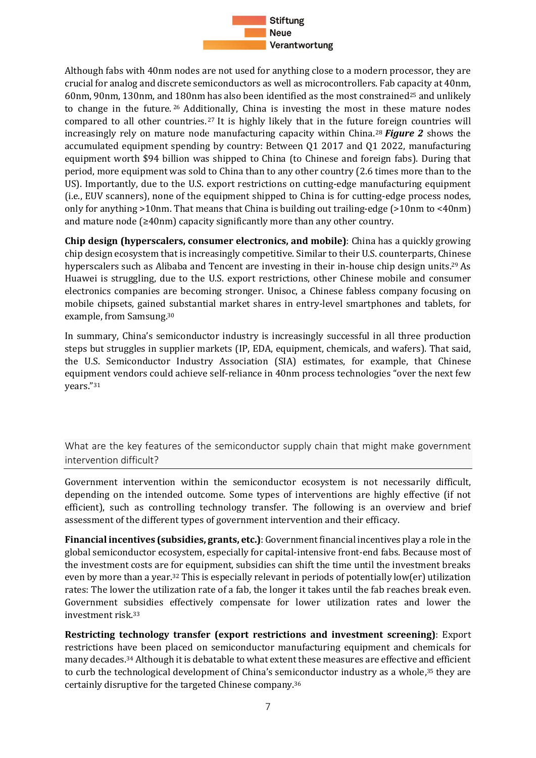

Although fabs with 40nm nodes are not used for anything close to a modern processor, they are crucial for analog and discrete semiconductors as well as microcontrollers. Fab capacity at 40nm, 60nm, 90nm, 130nm, and 180nm has also been identified as the most constrained<sup>25</sup> and unlikely to change in the future. <sup>26</sup> Additionally, China is investing the most in these mature nodes compared to all other countries.<sup>27</sup> It is highly likely that in the future foreign countries will increasingly rely on mature node manufacturing capacity within China. <sup>28</sup> *Figure 2* shows the accumulated equipment spending by country: Between Q1 2017 and Q1 2022, manufacturing equipment worth \$94 billion was shipped to China (to Chinese and foreign fabs). During that period, more equipment was sold to China than to any other country (2.6 times more than to the US). Importantly, due to the U.S. export restrictions on cutting-edge manufacturing equipment (i.e., EUV scanners), none of the equipment shipped to China is for cutting-edge process nodes, only for anything >10nm. That means that China is building out trailing-edge (>10nm to <40nm) and mature node (≥40nm) capacity significantly more than any other country.

**Chip design (hyperscalers, consumer electronics, and mobile)**: China has a quickly growing chip design ecosystem that is increasingly competitive. Similar to their U.S. counterparts, Chinese hyperscalers such as Alibaba and Tencent are investing in their in-house chip design units.<sup>29</sup> As Huawei is struggling, due to the U.S. export restrictions, other Chinese mobile and consumer electronics companies are becoming stronger. Unisoc, a Chinese fabless company focusing on mobile chipsets, gained substantial market shares in entry-level smartphones and tablets, for example, from Samsung. 30

In summary, China's semiconductor industry is increasingly successful in all three production steps but struggles in supplier markets (IP, EDA, equipment, chemicals, and wafers). That said, the U.S. Semiconductor Industry Association (SIA) estimates, for example, that Chinese equipment vendors could achieve self-reliance in 40nm process technologies "over the next few years."<sup>31</sup>

<span id="page-6-0"></span>What are the key features of the semiconductor supply chain that might make government intervention difficult?

Government intervention within the semiconductor ecosystem is not necessarily difficult, depending on the intended outcome. Some types of interventions are highly effective (if not efficient), such as controlling technology transfer. The following is an overview and brief assessment of the different types of government intervention and their efficacy.

**Financial incentives (subsidies, grants, etc.)**: Government financial incentives play a role in the global semiconductor ecosystem, especially for capital-intensive front-end fabs. Because most of the investment costs are for equipment, subsidies can shift the time until the investment breaks even by more than a year.<sup>32</sup> This is especially relevant in periods of potentially low(er) utilization rates: The lower the utilization rate of a fab, the longer it takes until the fab reaches break even. Government subsidies effectively compensate for lower utilization rates and lower the investment risk.<sup>33</sup>

**Restricting technology transfer (export restrictions and investment screening)**: Export restrictions have been placed on semiconductor manufacturing equipment and chemicals for many decades.<sup>34</sup> Although it is debatable to what extent these measures are effective and efficient to curb the technological development of China's semiconductor industry as a whole,<sup>35</sup> they are certainly disruptive for the targeted Chinese company.36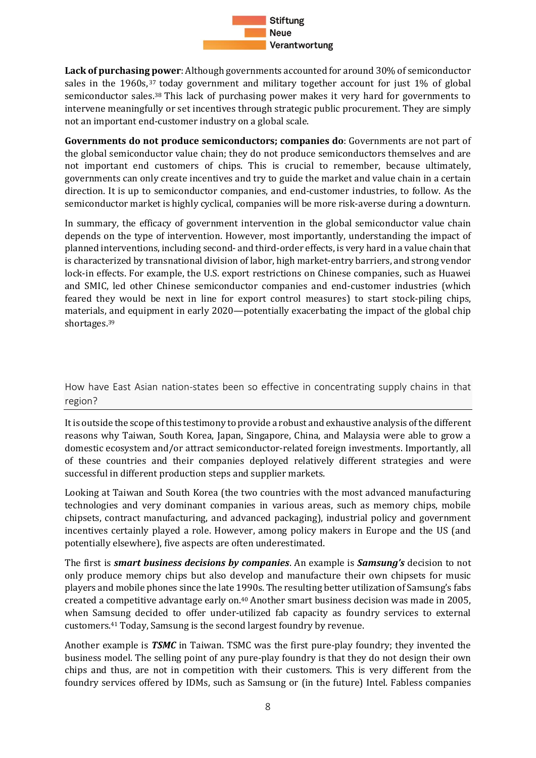

**Lack of purchasing power**: Although governments accounted for around 30% of semiconductor sales in the 1960s,<sup>37</sup> today government and military together account for just 1% of global semiconductor sales.<sup>38</sup> This lack of purchasing power makes it very hard for governments to intervene meaningfully or set incentives through strategic public procurement. They are simply not an important end-customer industry on a global scale.

**Governments do not produce semiconductors; companies do**: Governments are not part of the global semiconductor value chain; they do not produce semiconductors themselves and are not important end customers of chips. This is crucial to remember, because ultimately, governments can only create incentives and try to guide the market and value chain in a certain direction. It is up to semiconductor companies, and end-customer industries, to follow. As the semiconductor market is highly cyclical, companies will be more risk-averse during a downturn.

In summary, the efficacy of government intervention in the global semiconductor value chain depends on the type of intervention. However, most importantly, understanding the impact of planned interventions, including second- and third-order effects, is very hard in a value chain that is characterized by transnational division of labor, high market-entry barriers, and strong vendor lock-in effects. For example, the U.S. export restrictions on Chinese companies, such as Huawei and SMIC, led other Chinese semiconductor companies and end-customer industries (which feared they would be next in line for export control measures) to start stock-piling chips, materials, and equipment in early 2020—potentially exacerbating the impact of the global chip shortages.<sup>39</sup>

<span id="page-7-0"></span>How have East Asian nation-states been so effective in concentrating supply chains in that region?

It is outside the scope of this testimony to provide a robust and exhaustive analysis of the different reasons why Taiwan, South Korea, Japan, Singapore, China, and Malaysia were able to grow a domestic ecosystem and/or attract semiconductor-related foreign investments. Importantly, all of these countries and their companies deployed relatively different strategies and were successful in different production steps and supplier markets.

Looking at Taiwan and South Korea (the two countries with the most advanced manufacturing technologies and very dominant companies in various areas, such as memory chips, mobile chipsets, contract manufacturing, and advanced packaging), industrial policy and government incentives certainly played a role. However, among policy makers in Europe and the US (and potentially elsewhere), five aspects are often underestimated.

The first is *smart business decisions by companies*. An example is *Samsung's* decision to not only produce memory chips but also develop and manufacture their own chipsets for music players and mobile phones since the late 1990s. The resulting better utilization of Samsung's fabs created a competitive advantage early on.<sup>40</sup> Another smart business decision was made in 2005, when Samsung decided to offer under-utilized fab capacity as foundry services to external customers.<sup>41</sup> Today, Samsung is the second largest foundry by revenue.

Another example is *TSMC* in Taiwan. TSMC was the first pure-play foundry; they invented the business model. The selling point of any pure-play foundry is that they do not design their own chips and thus, are not in competition with their customers. This is very different from the foundry services offered by IDMs, such as Samsung or (in the future) Intel. Fabless companies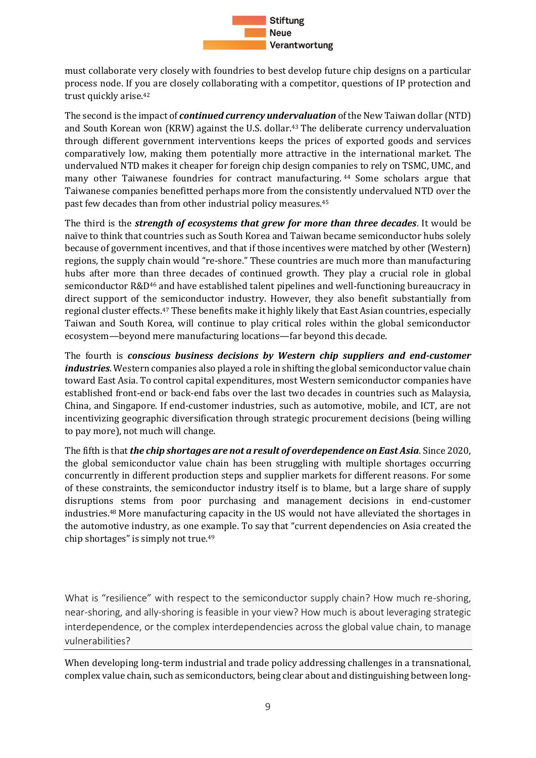

must collaborate very closely with foundries to best develop future chip designs on a particular process node. If you are closely collaborating with a competitor, questions of IP protection and trust quickly arise. 42

The second is the impact of *continued currency undervaluation* of the New Taiwan dollar (NTD) and South Korean won (KRW) against the U.S. dollar. <sup>43</sup> The deliberate currency undervaluation through different government interventions keeps the prices of exported goods and services comparatively low, making them potentially more attractive in the international market. The undervalued NTD makes it cheaper for foreign chip design companies to rely on TSMC, UMC, and many other Taiwanese foundries for contract manufacturing. <sup>44</sup> Some scholars argue that Taiwanese companies benefitted perhaps more from the consistently undervalued NTD over the past few decades than from other industrial policy measures.<sup>45</sup>

The third is the *strength of ecosystems that grew for more than three decades*. It would be naïve to think that countries such as South Korea and Taiwan became semiconductor hubs solely because of government incentives, and that if those incentives were matched by other (Western) regions, the supply chain would "re-shore." These countries are much more than manufacturing hubs after more than three decades of continued growth. They play a crucial role in global semiconductor R&D<sup>46</sup> and have established talent pipelines and well-functioning bureaucracy in direct support of the semiconductor industry. However, they also benefit substantially from regional cluster effects.<sup>47</sup> These benefits make it highly likely that East Asian countries, especially Taiwan and South Korea, will continue to play critical roles within the global semiconductor ecosystem—beyond mere manufacturing locations—far beyond this decade.

The fourth is *conscious business decisions by Western chip suppliers and end-customer industries*. Western companies also played a role in shifting the global semiconductor value chain toward East Asia. To control capital expenditures, most Western semiconductor companies have established front-end or back-end fabs over the last two decades in countries such as Malaysia, China, and Singapore. If end-customer industries, such as automotive, mobile, and ICT, are not incentivizing geographic diversification through strategic procurement decisions (being willing to pay more), not much will change.

The fifth is that*the chip shortages are not a result of overdependence on East Asia*. Since 2020, the global semiconductor value chain has been struggling with multiple shortages occurring concurrently in different production steps and supplier markets for different reasons. For some of these constraints, the semiconductor industry itself is to blame, but a large share of supply disruptions stems from poor purchasing and management decisions in end-customer industries.<sup>48</sup> More manufacturing capacity in the US would not have alleviated the shortages in the automotive industry, as one example. To say that "current dependencies on Asia created the chip shortages" is simply not true.<sup>49</sup>

<span id="page-8-0"></span>What is "resilience" with respect to the semiconductor supply chain? How much re-shoring, near-shoring, and ally-shoring is feasible in your view? How much is about leveraging strategic interdependence, or the complex interdependencies across the global value chain, to manage vulnerabilities?

When developing long-term industrial and trade policy addressing challenges in a transnational, complex value chain, such as semiconductors, being clear about and distinguishing between long-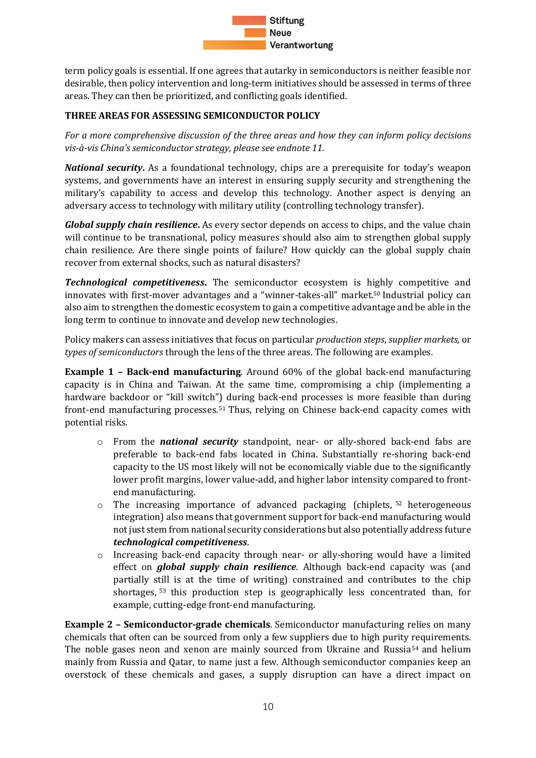

term policy goals is essential. If one agrees that autarky in semiconductors is neither feasible nor desirable, then policy intervention and long-term initiatives should be assessed in terms of three areas. They can then be prioritized, and conflicting goals identified.

#### **THREE AREAS FOR ASSESSING SEMICONDUCTOR POLICY**

*For a more comprehensive discussion of the three areas and how they can inform policy decisions vis-à-vis China's semiconductor strategy, please see endnote 11.* 

*National security***.** As a foundational technology, chips are a prerequisite for today's weapon systems, and governments have an interest in ensuring supply security and strengthening the military's capability to access and develop this technology. Another aspect is denying an adversary access to technology with military utility (controlling technology transfer).

*Global supply chain resilience***.** As every sector depends on access to chips, and the value chain will continue to be transnational, policy measures should also aim to strengthen global supply chain resilience. Are there single points of failure? How quickly can the global supply chain recover from external shocks, such as natural disasters?

*Technological competitiveness***.** The semiconductor ecosystem is highly competitive and innovates with first-mover advantages and a "winner-takes-all" market.<sup>50</sup> Industrial policy can also aim to strengthen the domestic ecosystem to gain a competitive advantage and be able in the long term to continue to innovate and develop new technologies.

Policy makers can assess initiatives that focus on particular *production steps*, *supplier markets,* or *types of semiconductors* through the lens of the three areas. The following are examples.

**Example 1 – Back-end manufacturing**. Around 60% of the global back-end manufacturing capacity is in China and Taiwan. At the same time, compromising a chip (implementing a hardware backdoor or "kill switch") during back-end processes is more feasible than during front-end manufacturing processes.<sup>51</sup> Thus, relying on Chinese back-end capacity comes with potential risks.

- o From the *national security* standpoint, near- or ally-shored back-end fabs are preferable to back-end fabs located in China. Substantially re-shoring back-end capacity to the US most likely will not be economically viable due to the significantly lower profit margins, lower value-add, and higher labor intensity compared to frontend manufacturing.
- o The increasing importance of advanced packaging (chiplets, <sup>52</sup> heterogeneous integration) also means that government support for back-end manufacturing would not just stem from national security considerations but also potentially address future *technological competitiveness*.
- o Increasing back-end capacity through near- or ally-shoring would have a limited effect on *global supply chain resilience*. Although back-end capacity was (and partially still is at the time of writing) constrained and contributes to the chip shortages, <sup>53</sup> this production step is geographically less concentrated than, for example, cutting-edge front-end manufacturing.

**Example 2 – Semiconductor-grade chemicals**. Semiconductor manufacturing relies on many chemicals that often can be sourced from only a few suppliers due to high purity requirements. The noble gases neon and xenon are mainly sourced from Ukraine and Russia<sup>54</sup> and helium mainly from Russia and Qatar, to name just a few. Although semiconductor companies keep an overstock of these chemicals and gases, a supply disruption can have a direct impact on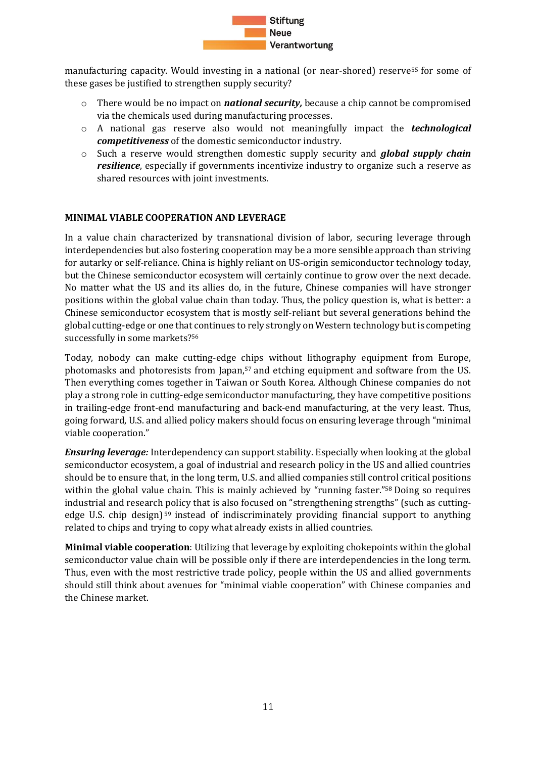

manufacturing capacity. Would investing in a national (or near-shored) reserve<sup>55</sup> for some of these gases be justified to strengthen supply security?

- o There would be no impact on *national security,* because a chip cannot be compromised via the chemicals used during manufacturing processes.
- o A national gas reserve also would not meaningfully impact the *technological competitiveness* of the domestic semiconductor industry.
- o Such a reserve would strengthen domestic supply security and *global supply chain resilience*, especially if governments incentivize industry to organize such a reserve as shared resources with joint investments.

#### **MINIMAL VIABLE COOPERATION AND LEVERAGE**

In a value chain characterized by transnational division of labor, securing leverage through interdependencies but also fostering cooperation may be a more sensible approach than striving for autarky or self-reliance. China is highly reliant on US-origin semiconductor technology today, but the Chinese semiconductor ecosystem will certainly continue to grow over the next decade. No matter what the US and its allies do, in the future, Chinese companies will have stronger positions within the global value chain than today. Thus, the policy question is, what is better: a Chinese semiconductor ecosystem that is mostly self-reliant but several generations behind the global cutting-edge or one that continues to rely strongly on Western technology but is competing successfully in some markets?<sup>56</sup>

Today, nobody can make cutting-edge chips without lithography equipment from Europe, photomasks and photoresists from Japan, <sup>57</sup> and etching equipment and software from the US. Then everything comes together in Taiwan or South Korea. Although Chinese companies do not play a strong role in cutting-edge semiconductor manufacturing, they have competitive positions in trailing-edge front-end manufacturing and back-end manufacturing, at the very least. Thus, going forward, U.S. and allied policy makers should focus on ensuring leverage through "minimal viable cooperation."

*Ensuring leverage:* Interdependency can support stability. Especially when looking at the global semiconductor ecosystem, a goal of industrial and research policy in the US and allied countries should be to ensure that, in the long term, U.S. and allied companies still control critical positions within the global value chain. This is mainly achieved by "running faster."<sup>58</sup> Doing so requires industrial and research policy that is also focused on "strengthening strengths" (such as cuttingedge U.S. chip design)<sup>59</sup> instead of indiscriminately providing financial support to anything related to chips and trying to copy what already exists in allied countries.

**Minimal viable cooperation**: Utilizing that leverage by exploiting chokepoints within the global semiconductor value chain will be possible only if there are interdependencies in the long term. Thus, even with the most restrictive trade policy, people within the US and allied governments should still think about avenues for "minimal viable cooperation" with Chinese companies and the Chinese market.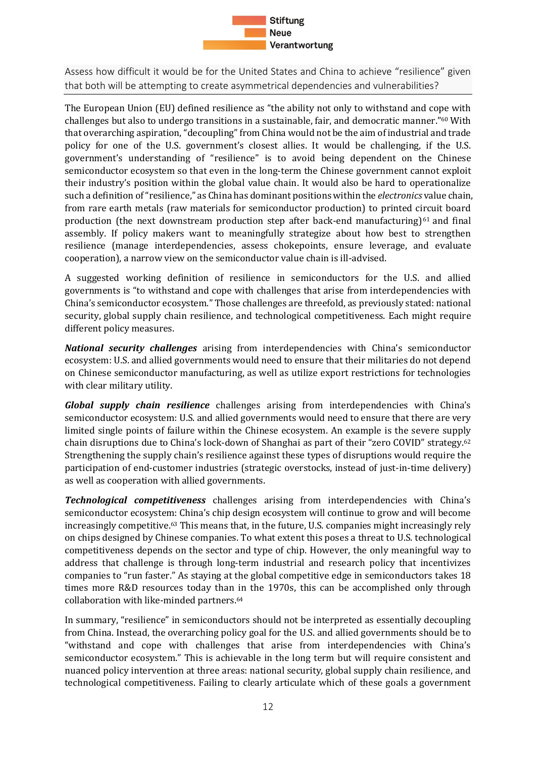

<span id="page-11-0"></span>Assess how difficult it would be for the United States and China to achieve "resilience" given that both will be attempting to create asymmetrical dependencies and vulnerabilities?

The European Union (EU) defined resilience as "the ability not only to withstand and cope with challenges but also to undergo transitions in a sustainable, fair, and democratic manner."<sup>60</sup> With that overarching aspiration, "decoupling" from China would not be the aim of industrial and trade policy for one of the U.S. government's closest allies. It would be challenging, if the U.S. government's understanding of "resilience" is to avoid being dependent on the Chinese semiconductor ecosystem so that even in the long-term the Chinese government cannot exploit their industry's position within the global value chain. It would also be hard to operationalize such a definition of "resilience," as China has dominant positions within the *electronics* value chain, from rare earth metals (raw materials for semiconductor production) to printed circuit board production (the next downstream production step after back-end manufacturing) $61$  and final assembly. If policy makers want to meaningfully strategize about how best to strengthen resilience (manage interdependencies, assess chokepoints, ensure leverage, and evaluate cooperation), a narrow view on the semiconductor value chain is ill-advised.

A suggested working definition of resilience in semiconductors for the U.S. and allied governments is "to withstand and cope with challenges that arise from interdependencies with China's semiconductor ecosystem." Those challenges are threefold, as previously stated: national security, global supply chain resilience, and technological competitiveness. Each might require different policy measures.

*National security challenges* arising from interdependencies with China's semiconductor ecosystem: U.S. and allied governments would need to ensure that their militaries do not depend on Chinese semiconductor manufacturing, as well as utilize export restrictions for technologies with clear military utility.

*Global supply chain resilience* challenges arising from interdependencies with China's semiconductor ecosystem: U.S. and allied governments would need to ensure that there are very limited single points of failure within the Chinese ecosystem. An example is the severe supply chain disruptions due to China's lock-down of Shanghai as part of their "zero COVID" strategy.<sup>62</sup> Strengthening the supply chain's resilience against these types of disruptions would require the participation of end-customer industries (strategic overstocks, instead of just-in-time delivery) as well as cooperation with allied governments.

*Technological competitiveness* challenges arising from interdependencies with China's semiconductor ecosystem: China's chip design ecosystem will continue to grow and will become increasingly competitive.<sup>63</sup> This means that, in the future, U.S. companies might increasingly rely on chips designed by Chinese companies. To what extent this poses a threat to U.S. technological competitiveness depends on the sector and type of chip. However, the only meaningful way to address that challenge is through long-term industrial and research policy that incentivizes companies to "run faster." As staying at the global competitive edge in semiconductors takes 18 times more R&D resources today than in the 1970s, this can be accomplished only through collaboration with like-minded partners.<sup>64</sup>

In summary, "resilience" in semiconductors should not be interpreted as essentially decoupling from China. Instead, the overarching policy goal for the U.S. and allied governments should be to "withstand and cope with challenges that arise from interdependencies with China's semiconductor ecosystem." This is achievable in the long term but will require consistent and nuanced policy intervention at three areas: national security, global supply chain resilience, and technological competitiveness. Failing to clearly articulate which of these goals a government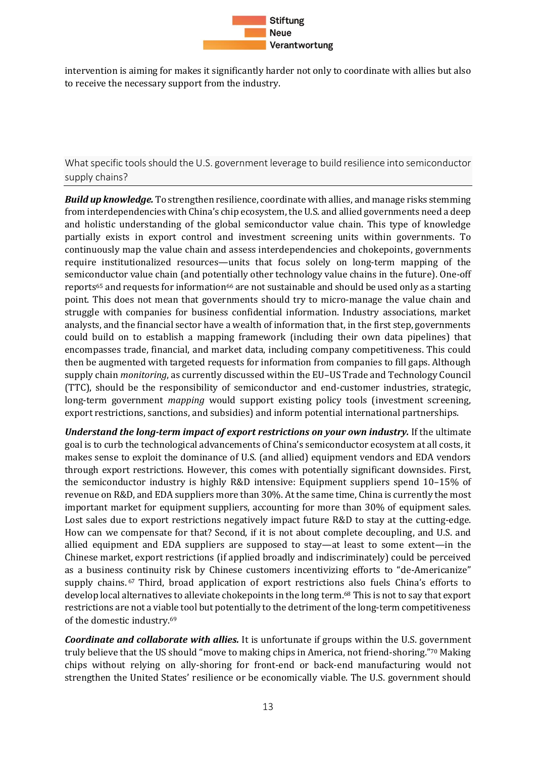

intervention is aiming for makes it significantly harder not only to coordinate with allies but also to receive the necessary support from the industry.

<span id="page-12-0"></span>What specific tools should the U.S. government leverage to build resilience into semiconductor supply chains?

*Build up knowledge.* To strengthen resilience, coordinate with allies, and manage risks stemming from interdependencies with China's chip ecosystem, the U.S. and allied governments need a deep and holistic understanding of the global semiconductor value chain. This type of knowledge partially exists in export control and investment screening units within governments. To continuously map the value chain and assess interdependencies and chokepoints, governments require institutionalized resources—units that focus solely on long-term mapping of the semiconductor value chain (and potentially other technology value chains in the future). One-off reports<sup>65</sup> and requests for information<sup>66</sup> are not sustainable and should be used only as a starting point. This does not mean that governments should try to micro-manage the value chain and struggle with companies for business confidential information. Industry associations, market analysts, and the financial sector have a wealth of information that, in the first step, governments could build on to establish a mapping framework (including their own data pipelines) that encompasses trade, financial, and market data, including company competitiveness. This could then be augmented with targeted requests for information from companies to fill gaps. Although supply chain *monitoring*, as currently discussed within the EU–US Trade and Technology Council (TTC), should be the responsibility of semiconductor and end-customer industries, strategic, long-term government *mapping* would support existing policy tools (investment screening, export restrictions, sanctions, and subsidies) and inform potential international partnerships.

*Understand the long-term impact of export restrictions on your own industry.* If the ultimate goal is to curb the technological advancements of China's semiconductor ecosystem at all costs, it makes sense to exploit the dominance of U.S. (and allied) equipment vendors and EDA vendors through export restrictions. However, this comes with potentially significant downsides. First, the semiconductor industry is highly R&D intensive: Equipment suppliers spend 10–15% of revenue on R&D, and EDA suppliers more than 30%. At the same time, China is currently the most important market for equipment suppliers, accounting for more than 30% of equipment sales. Lost sales due to export restrictions negatively impact future R&D to stay at the cutting-edge. How can we compensate for that? Second, if it is not about complete decoupling, and U.S. and allied equipment and EDA suppliers are supposed to stay—at least to some extent—in the Chinese market, export restrictions (if applied broadly and indiscriminately) could be perceived as a business continuity risk by Chinese customers incentivizing efforts to "de-Americanize" supply chains. <sup>67</sup> Third, broad application of export restrictions also fuels China's efforts to develop local alternatives to alleviate chokepoints in the long term.<sup>68</sup> This is not to say that export restrictions are not a viable tool but potentially to the detriment of the long-term competitiveness of the domestic industry.<sup>69</sup>

*Coordinate and collaborate with allies.* It is unfortunate if groups within the U.S. government truly believe that the US should "move to making chips in America, not friend-shoring."<sup>70</sup> Making chips without relying on ally-shoring for front-end or back-end manufacturing would not strengthen the United States' resilience or be economically viable. The U.S. government should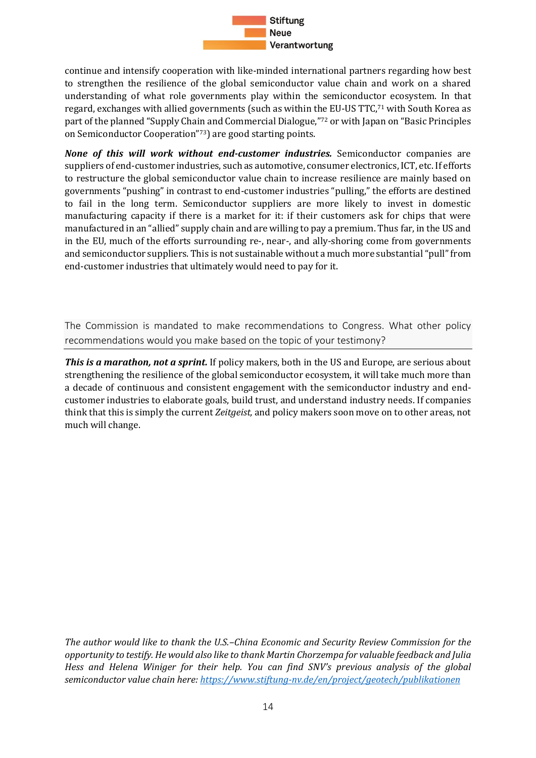

continue and intensify cooperation with like-minded international partners regarding how best to strengthen the resilience of the global semiconductor value chain and work on a shared understanding of what role governments play within the semiconductor ecosystem. In that regard, exchanges with allied governments (such as within the EU-US TTC, <sup>71</sup> with South Korea as part of the planned "Supply Chain and Commercial Dialogue," <sup>72</sup> or with Japan on "Basic Principles on Semiconductor Cooperation"73) are good starting points.

*None of this will work without end-customer industries.* Semiconductor companies are suppliers of end-customer industries, such as automotive, consumer electronics, ICT, etc. If efforts to restructure the global semiconductor value chain to increase resilience are mainly based on governments "pushing" in contrast to end-customer industries "pulling," the efforts are destined to fail in the long term. Semiconductor suppliers are more likely to invest in domestic manufacturing capacity if there is a market for it: if their customers ask for chips that were manufactured in an "allied" supply chain and are willing to pay a premium. Thus far, in the US and in the EU, much of the efforts surrounding re-, near-, and ally-shoring come from governments and semiconductor suppliers. This is not sustainable without a much more substantial "pull" from end-customer industries that ultimately would need to pay for it.

<span id="page-13-0"></span>The Commission is mandated to make recommendations to Congress. What other policy recommendations would you make based on the topic of your testimony?

*This is a marathon, not a sprint.* If policy makers, both in the US and Europe, are serious about strengthening the resilience of the global semiconductor ecosystem, it will take much more than a decade of continuous and consistent engagement with the semiconductor industry and endcustomer industries to elaborate goals, build trust, and understand industry needs. If companies think that this is simply the current *Zeitgeist,* and policy makers soon move on to other areas, not much will change.

*The author would like to thank the U.S.–China Economic and Security Review Commission for the opportunity to testify. He would also like to thank Martin Chorzempa for valuable feedback and Julia Hess and Helena Winiger for their help. You can find SNV's previous analysis of the global semiconductor value chain here[: https://www.stiftung-nv.de/en/project/geotech/publikationen](https://www.stiftung-nv.de/en/project/geotech/publikationen)*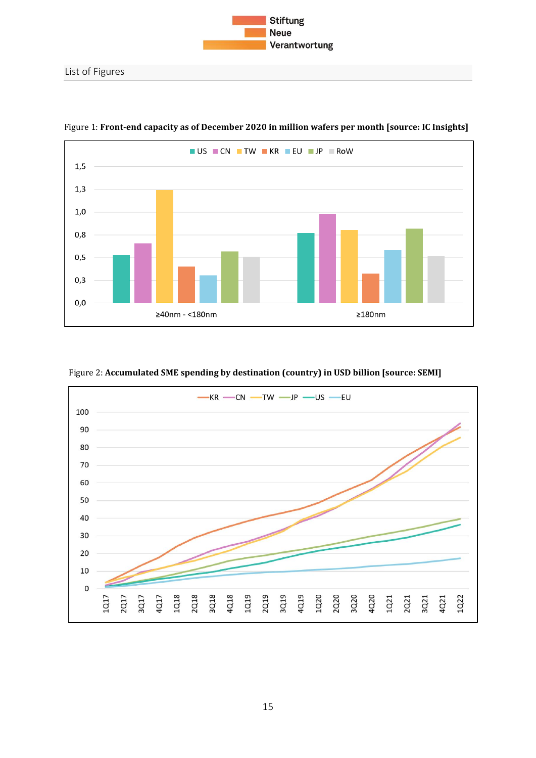



<span id="page-14-0"></span>Figure 1: **Front-end capacity as of December 2020 in million wafers per month [source: IC Insights]**

#### Figure 2: **Accumulated SME spending by destination (country) in USD billion [source: SEMI]**

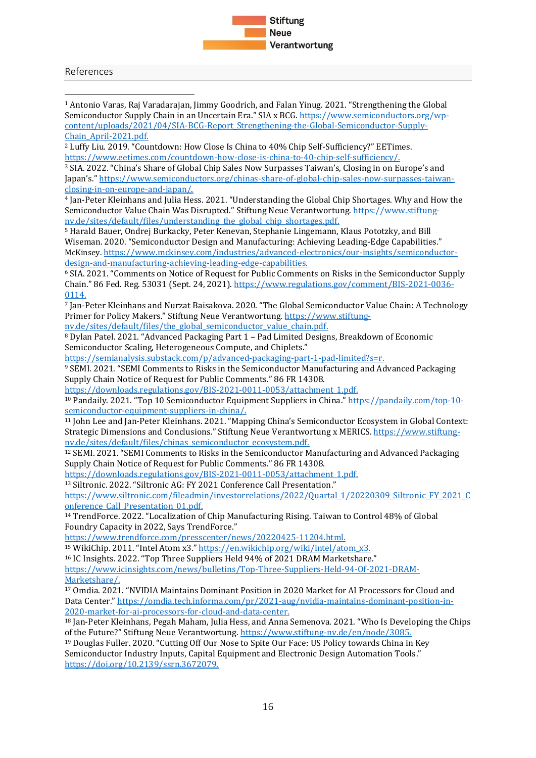

<span id="page-15-0"></span>References

<sup>1</sup> Antonio Varas, Raj Varadarajan, Jimmy Goodrich, and Falan Yinug. 2021. "Strengthening the Global Semiconductor Supply Chain in an Uncertain Era." SIA x BCG. [https://www.semiconductors.org/wp](https://www.semiconductors.org/wp-content/uploads/2021/04/SIA-BCG-Report_Strengthening-the-Global-Semiconductor-Supply-Chain_April-2021.pdf.)[content/uploads/2021/04/SIA-BCG-Report\\_Strengthening-the-Global-Semiconductor-Supply-](https://www.semiconductors.org/wp-content/uploads/2021/04/SIA-BCG-Report_Strengthening-the-Global-Semiconductor-Supply-Chain_April-2021.pdf.)[Chain\\_April-2021.pdf.](https://www.semiconductors.org/wp-content/uploads/2021/04/SIA-BCG-Report_Strengthening-the-Global-Semiconductor-Supply-Chain_April-2021.pdf.) <sup>2</sup> Luffy Liu. 2019. "Countdown: How Close Is China to 40% Chip Self-Sufficiency?" EETimes. [https://www.eetimes.com/countdown-how-close-is-china-to-40-chip-self-sufficiency/.](https://www.eetimes.com/countdown-how-close-is-china-to-40-chip-self-sufficiency/) 

<sup>3</sup> SIA. 2022. "China's Share of Global Chip Sales Now Surpasses Taiwan's, Closing in on Europe's and Japan's." [https://www.semiconductors.org/chinas-share-of-global-chip-sales-now-surpasses-taiwan](https://www.semiconductors.org/chinas-share-of-global-chip-sales-now-surpasses-taiwan-closing-in-on-europe-and-japan/)[closing-in-on-europe-and-japan/.](https://www.semiconductors.org/chinas-share-of-global-chip-sales-now-surpasses-taiwan-closing-in-on-europe-and-japan/)

<sup>4</sup> Jan-Peter Kleinhans and Julia Hess. 2021. "Understanding the Global Chip Shortages. Why and How the Semiconductor Value Chain Was Disrupted." Stiftung Neue Verantwortung. [https://www.stiftung](https://www.stiftung-nv.de/sites/default/files/understanding_the_global_chip_shortages.pdf.)[nv.de/sites/default/files/understanding\\_the\\_global\\_chip\\_shortages.pdf.](https://www.stiftung-nv.de/sites/default/files/understanding_the_global_chip_shortages.pdf.)

<sup>5</sup> Harald Bauer, Ondrej Burkacky, Peter Kenevan, Stephanie Lingemann, Klaus Pototzky, and Bill Wiseman. 2020. "Semiconductor Design and Manufacturing: Achieving Leading-Edge Capabilities." McKinsey. [https://www.mckinsey.com/industries/advanced-electronics/our-insights/semiconductor](https://www.mckinsey.com/industries/advanced-electronics/our-insights/semiconductor-design-and-manufacturing-achieving-leading-edge-capabilities.)[design-and-manufacturing-achieving-leading-edge-capabilities.](https://www.mckinsey.com/industries/advanced-electronics/our-insights/semiconductor-design-and-manufacturing-achieving-leading-edge-capabilities.)

<sup>6</sup> SIA. 2021. "Comments on Notice of Request for Public Comments on Risks in the Semiconductor Supply Chain." 86 Fed. Reg. 53031 (Sept. 24, 2021). [https://www.regulations.gov/comment/BIS-2021-0036-](https://www.regulations.gov/comment/BIS-2021-0036-0114.) [0114.](https://www.regulations.gov/comment/BIS-2021-0036-0114.)

<sup>7</sup> Jan-Peter Kleinhans and Nurzat Baisakova. 2020. "The Global Semiconductor Value Chain: A Technology Primer for Policy Makers." Stiftung Neue Verantwortung. [https://www.stiftung-](https://www.stiftung-nv.de/sites/default/files/the_global_semiconductor_value_chain.pdf.)

[nv.de/sites/default/files/the\\_global\\_semiconductor\\_value\\_chain.pdf.](https://www.stiftung-nv.de/sites/default/files/the_global_semiconductor_value_chain.pdf.)

<sup>8</sup> Dylan Patel. 2021. "Advanced Packaging Part 1 – Pad Limited Designs, Breakdown of Economic Semiconductor Scaling, Heterogeneous Compute, and Chiplets."

<https://semianalysis.substack.com/p/advanced-packaging-part-1-pad-limited?s=r.>

<sup>9</sup> SEMI. 2021. "SEMI Comments to Risks in the Semiconductor Manufacturing and Advanced Packaging Supply Chain Notice of Request for Public Comments." 86 FR 14308.

[https://downloads.regulations.gov/BIS-2021-0011-0053/attachment\\_1.pdf.](https://downloads.regulations.gov/BIS-2021-0011-0053/attachment_1.pdf.) 

<sup>10</sup> Pandaily. 2021. "Top 10 Semiconductor Equipment Suppliers in China." [https://pandaily.com/top-10](https://pandaily.com/top-10-semiconductor-equipment-suppliers-in-china/) [semiconductor-equipment-suppliers-in-china/.](https://pandaily.com/top-10-semiconductor-equipment-suppliers-in-china/)

<sup>11</sup> John Lee and Jan-Peter Kleinhans. 2021. "Mapping China's Semiconductor Ecosystem in Global Context: Strategic Dimensions and Conclusions." Stiftung Neue Verantwortung x MERICS. [https://www.stiftung](https://www.stiftung-nv.de/sites/default/files/chinas_semiconductor_ecosystem.pdf.)[nv.de/sites/default/files/chinas\\_semiconductor\\_ecosystem.pdf.](https://www.stiftung-nv.de/sites/default/files/chinas_semiconductor_ecosystem.pdf.)

<sup>12</sup> SEMI. 2021. "SEMI Comments to Risks in the Semiconductor Manufacturing and Advanced Packaging Supply Chain Notice of Request for Public Comments." 86 FR 14308.

[https://downloads.regulations.gov/BIS-2021-0011-0053/attachment\\_1.pdf.](https://downloads.regulations.gov/BIS-2021-0011-0053/attachment_1.pdf.) 

13 Siltronic. 2022. "Siltronic AG: FY 2021 Conference Call Presentation."

https://www.siltronic.com/fileadmin/investorrelations/2022/Quartal 1/20220309 Siltronic FY\_2021\_C onference Call Presentation 01.pdf.

<sup>14</sup> TrendForce. 2022. "Localization of Chip Manufacturing Rising. Taiwan to Control 48% of Global Foundry Capacity in 2022, Says TrendForce."

<https://www.trendforce.com/presscenter/news/20220425-11204.html.>

<sup>15</sup> WikiChip. 2011. "Intel Atom x3." [https://en.wikichip.org/wiki/intel/atom\\_x3.](https://en.wikichip.org/wiki/intel/atom_x3.)

<sup>16</sup> IC Insights. 2022. "Top Three Suppliers Held 94% of 2021 DRAM Marketshare."

[https://www.icinsights.com/news/bulletins/Top-Three-Suppliers-Held-94-Of-2021-DRAM-](https://www.icinsights.com/news/bulletins/Top-Three-Suppliers-Held-94-Of-2021-DRAM-Marketshare/)[Marketshare/.](https://www.icinsights.com/news/bulletins/Top-Three-Suppliers-Held-94-Of-2021-DRAM-Marketshare/)

<sup>17</sup> Omdia. 2021. "NVIDIA Maintains Dominant Position in 2020 Market for AI Processors for Cloud and Data Center." [https://omdia.tech.informa.com/pr/2021-aug/nvidia-maintains-dominant-position-in-](https://omdia.tech.informa.com/pr/2021-aug/nvidia-maintains-dominant-position-in-2020-market-for-ai-processors-for-cloud-and-data-center.)[2020-market-for-ai-processors-for-cloud-and-data-center.](https://omdia.tech.informa.com/pr/2021-aug/nvidia-maintains-dominant-position-in-2020-market-for-ai-processors-for-cloud-and-data-center.)

<sup>18</sup> Jan-Peter Kleinhans, Pegah Maham, Julia Hess, and Anna Semenova. 2021. "Who Is Developing the Chips of the Future?" Stiftung Neue Verantwortung.<https://www.stiftung-nv.de/en/node/3085.>

<sup>19</sup> Douglas Fuller. 2020. "Cutting Off Our Nose to Spite Our Face: US Policy towards China in Key Semiconductor Industry Inputs, Capital Equipment and Electronic Design Automation Tools." <https://doi.org/10.2139/ssrn.3672079.>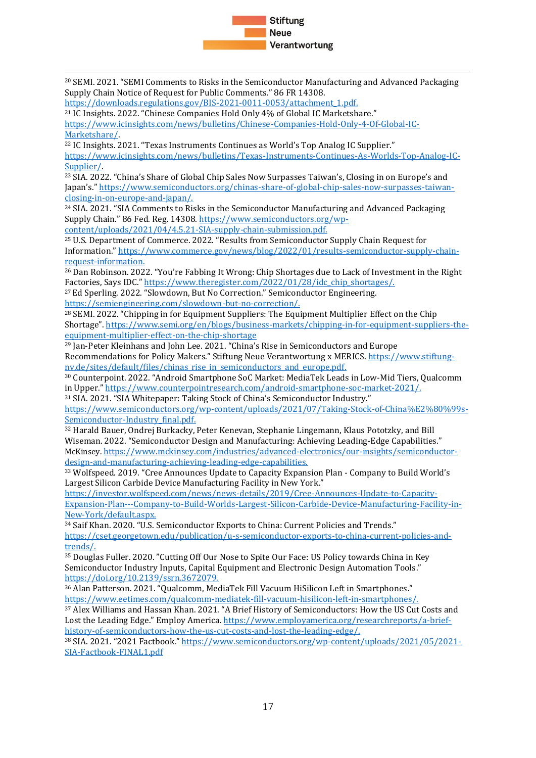

<sup>20</sup> SEMI. 2021. "SEMI Comments to Risks in the Semiconductor Manufacturing and Advanced Packaging Supply Chain Notice of Request for Public Comments." 86 FR 14308.

[https://downloads.regulations.gov/BIS-2021-0011-0053/attachment\\_1.pdf.](https://downloads.regulations.gov/BIS-2021-0011-0053/attachment_1.pdf.) <sup>21</sup> IC Insights. 2022. "Chinese Companies Hold Only 4% of Global IC Marketshare." [https://www.icinsights.com/news/bulletins/Chinese-Companies-Hold-Only-4-Of-Global-IC-](https://www.icinsights.com/news/bulletins/Chinese-Companies-Hold-Only-4-Of-Global-IC-Marketshare/)[Marketshare/.](https://www.icinsights.com/news/bulletins/Chinese-Companies-Hold-Only-4-Of-Global-IC-Marketshare/) 

<sup>22</sup> IC Insights. 2021. "Texas Instruments Continues as World's Top Analog IC Supplier." [https://www.icinsights.com/news/bulletins/Texas-Instruments-Continues-As-Worlds-Top-Analog-IC-](https://www.icinsights.com/news/bulletins/Texas-Instruments-Continues-As-Worlds-Top-Analog-IC-Supplier/)[Supplier/.](https://www.icinsights.com/news/bulletins/Texas-Instruments-Continues-As-Worlds-Top-Analog-IC-Supplier/)

<sup>23</sup> SIA. 2022. "China's Share of Global Chip Sales Now Surpasses Taiwan's, Closing in on Europe's and Japan's." [https://www.semiconductors.org/chinas-share-of-global-chip-sales-now-surpasses-taiwan](https://www.semiconductors.org/chinas-share-of-global-chip-sales-now-surpasses-taiwan-closing-in-on-europe-and-japan/)[closing-in-on-europe-and-japan/.](https://www.semiconductors.org/chinas-share-of-global-chip-sales-now-surpasses-taiwan-closing-in-on-europe-and-japan/)

<sup>24</sup> SIA. 2021. "SIA Comments to Risks in the Semiconductor Manufacturing and Advanced Packaging Supply Chain." 86 Fed. Reg. 14308. [https://www.semiconductors.org/wp](https://www.semiconductors.org/wp-content/uploads/2021/04/4.5.21-SIA-supply-chain-submission.pdf.)[content/uploads/2021/04/4.5.21-SIA-supply-chain-submission.pdf.](https://www.semiconductors.org/wp-content/uploads/2021/04/4.5.21-SIA-supply-chain-submission.pdf.)

<sup>25</sup> U.S. Department of Commerce. 2022. "Results from Semiconductor Supply Chain Request for Information." [https://www.commerce.gov/news/blog/2022/01/results-semiconductor-supply-chain-](https://www.commerce.gov/news/blog/2022/01/results-semiconductor-supply-chain-request-information.)

[request-information.](https://www.commerce.gov/news/blog/2022/01/results-semiconductor-supply-chain-request-information.) <sup>26</sup> Dan Robinson. 2022. "You're Fabbing It Wrong: Chip Shortages due to Lack of Investment in the Right Factories, Says IDC." [https://www.theregister.com/2022/01/28/idc\\_chip\\_shortages/.](https://www.theregister.com/2022/01/28/idc_chip_shortages/)

<sup>27</sup> Ed Sperling. 2022. "Slowdown, But No Correction." Semiconductor Engineering. https://semiengineering.com/slowdown-but-no-correction/.

<sup>28</sup> SEMI. 2022. "Chipping in for Equipment Suppliers: The Equipment Multiplier Effect on the Chip Shortage". [https://www.semi.org/en/blogs/business-markets/chipping-in-for-equipment-suppliers-the](https://www.semi.org/en/blogs/business-markets/chipping-in-for-equipment-suppliers-the-equipment-multiplier-effect-on-the-chip-shortage)[equipment-multiplier-effect-on-the-chip-shortage](https://www.semi.org/en/blogs/business-markets/chipping-in-for-equipment-suppliers-the-equipment-multiplier-effect-on-the-chip-shortage)

<sup>29</sup> Jan-Peter Kleinhans and John Lee. 2021. "China's Rise in Semiconductors and Europe Recommendations for Policy Makers." Stiftung Neue Verantwortung x MERICS[. https://www.stiftung](https://www.stiftung-nv.de/sites/default/files/chinas_rise_in_semiconductors_and_europe.pdf.)[nv.de/sites/default/files/chinas\\_rise\\_in\\_semiconductors\\_and\\_europe.pdf.](https://www.stiftung-nv.de/sites/default/files/chinas_rise_in_semiconductors_and_europe.pdf.)

<sup>30</sup> Counterpoint. 2022. "Android Smartphone SoC Market: MediaTek Leads in Low-Mid Tiers, Qualcomm in Upper." [https://www.counterpointresearch.com/android-smartphone-soc-market-2021/.](https://www.counterpointresearch.com/android-smartphone-soc-market-2021/)

<sup>31</sup> SIA. 2021. "SIA Whitepaper: Taking Stock of China's Semiconductor Industry."

[https://www.semiconductors.org/wp-content/uploads/2021/07/Taking-Stock-of-China%E2%80%99s-](https://www.semiconductors.org/wp-content/uploads/2021/07/Taking-Stock-of-China%E2%80%99s-Semiconductor-Industry_final.pdf.)Semiconductor-Industry final.pdf.

<sup>32</sup> Harald Bauer, Ondrej Burkacky, Peter Kenevan, Stephanie Lingemann, Klaus Pototzky, and Bill Wiseman. 2022. "Semiconductor Design and Manufacturing: Achieving Leading-Edge Capabilities." McKinsey. [https://www.mckinsey.com/industries/advanced-electronics/our-insights/semiconductor](https://www.mckinsey.com/industries/advanced-electronics/our-insights/semiconductor-design-and-manufacturing-achieving-leading-edge-capabilities.)[design-and-manufacturing-achieving-leading-edge-capabilities.](https://www.mckinsey.com/industries/advanced-electronics/our-insights/semiconductor-design-and-manufacturing-achieving-leading-edge-capabilities.)

<sup>33</sup> Wolfspeed. 2019. "Cree Announces Update to Capacity Expansion Plan - Company to Build World's Largest Silicon Carbide Device Manufacturing Facility in New York."

[https://investor.wolfspeed.com/news/news-details/2019/Cree-Announces-Update-to-Capacity-](https://investor.wolfspeed.com/news/news-details/2019/Cree-Announces-Update-to-Capacity-Expansion-Plan---Company-to-Build-Worlds-Largest-Silicon-Carbide-Device-Manufacturing-Facility-in-New-York/default.aspx.)[Expansion-Plan---Company-to-Build-Worlds-Largest-Silicon-Carbide-Device-Manufacturing-Facility-in-](https://investor.wolfspeed.com/news/news-details/2019/Cree-Announces-Update-to-Capacity-Expansion-Plan---Company-to-Build-Worlds-Largest-Silicon-Carbide-Device-Manufacturing-Facility-in-New-York/default.aspx.)[New-York/default.aspx.](https://investor.wolfspeed.com/news/news-details/2019/Cree-Announces-Update-to-Capacity-Expansion-Plan---Company-to-Build-Worlds-Largest-Silicon-Carbide-Device-Manufacturing-Facility-in-New-York/default.aspx.)

<sup>34</sup> Saif Khan. 2020. "U.S. Semiconductor Exports to China: Current Policies and Trends." [https://cset.georgetown.edu/publication/u-s-semiconductor-exports-to-china-current-policies-and](https://cset.georgetown.edu/publication/u-s-semiconductor-exports-to-china-current-policies-and-trends/)[trends/.](https://cset.georgetown.edu/publication/u-s-semiconductor-exports-to-china-current-policies-and-trends/)

<sup>35</sup> Douglas Fuller. 2020. "Cutting Off Our Nose to Spite Our Face: US Policy towards China in Key Semiconductor Industry Inputs, Capital Equipment and Electronic Design Automation Tools." <https://doi.org/10.2139/ssrn.3672079.>

<sup>36</sup> Alan Patterson. 2021. "Qualcomm, MediaTek Fill Vacuum HiSilicon Left in Smartphones." [https://www.eetimes.com/qualcomm-mediatek-fill-vacuum-hisilicon-left-in-smartphones/.](https://www.eetimes.com/qualcomm-mediatek-fill-vacuum-hisilicon-left-in-smartphones/)

<sup>37</sup> Alex Williams and Hassan Khan. 2021. "A Brief History of Semiconductors: How the US Cut Costs and Lost the Leading Edge." Employ America[. https://www.employamerica.org/researchreports/a-brief](https://www.employamerica.org/researchreports/a-brief-history-of-semiconductors-how-the-us-cut-costs-and-lost-the-leading-edge/)[history-of-semiconductors-how-the-us-cut-costs-and-lost-the-leading-edge/.](https://www.employamerica.org/researchreports/a-brief-history-of-semiconductors-how-the-us-cut-costs-and-lost-the-leading-edge/)

<sup>38</sup> SIA. 2021. "2021 Factbook." [https://www.semiconductors.org/wp-content/uploads/2021/05/2021-](https://www.semiconductors.org/wp-content/uploads/2021/05/2021-SIA-Factbook-FINAL1.pdf) [SIA-Factbook-FINAL1.pdf](https://www.semiconductors.org/wp-content/uploads/2021/05/2021-SIA-Factbook-FINAL1.pdf)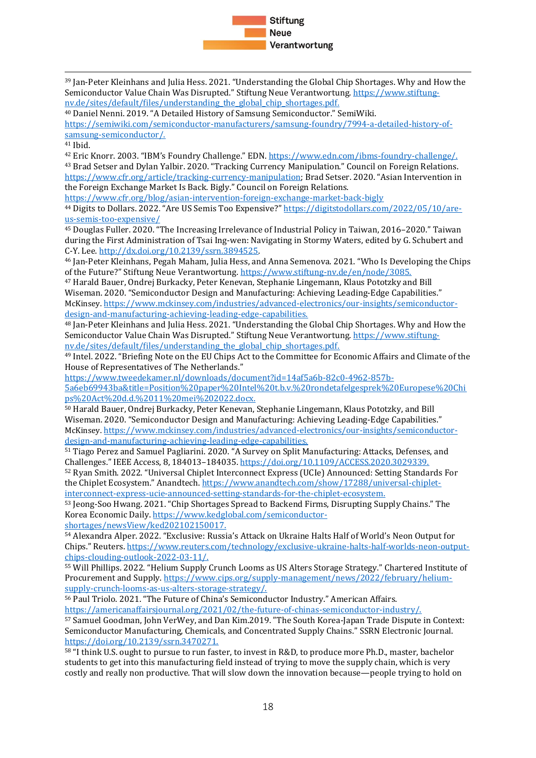

<sup>39</sup> Jan-Peter Kleinhans and Julia Hess. 2021. "Understanding the Global Chip Shortages. Why and How the Semiconductor Value Chain Was Disrupted." Stiftung Neue Verantwortung[. https://www.stiftung](https://www.stiftung-nv.de/sites/default/files/understanding_the_global_chip_shortages.pdf.)[nv.de/sites/default/files/understanding\\_the\\_global\\_chip\\_shortages.pdf.](https://www.stiftung-nv.de/sites/default/files/understanding_the_global_chip_shortages.pdf.) 

<sup>40</sup> Daniel Nenni. 2019. "A Detailed History of Samsung Semiconductor." SemiWiki.

[https://semiwiki.com/semiconductor-manufacturers/samsung-foundry/7994-a-detailed-history-of](https://semiwiki.com/semiconductor-manufacturers/samsung-foundry/7994-a-detailed-history-of-samsung-semiconductor/)[samsung-semiconductor/.](https://semiwiki.com/semiconductor-manufacturers/samsung-foundry/7994-a-detailed-history-of-samsung-semiconductor/)

<sup>41</sup> Ibid.

<sup>42</sup> Eric Knorr. 2003. "IBM's Foundry Challenge." EDN[. https://www.edn.com/ibms-foundry-challenge/.](https://www.edn.com/ibms-foundry-challenge/)

<sup>43</sup> Brad Setser and Dylan Yalbir. 2020. "Tracking Currency Manipulation." Council on Foreign Relations. [https://www.cfr.org/article/tracking-currency-manipulation;](https://www.cfr.org/article/tracking-currency-manipulation) Brad Setser. 2020. "Asian Intervention in the Foreign Exchange Market Is Back. Bigly." Council on Foreign Relations.

<https://www.cfr.org/blog/asian-intervention-foreign-exchange-market-back-bigly>

<sup>44</sup> Digits to Dollars. 2022. "Are US Semis Too Expensive?" [https://digitstodollars.com/2022/05/10/are](https://digitstodollars.com/2022/05/10/are-us-semis-too-expensive/)[us-semis-too-expensive/](https://digitstodollars.com/2022/05/10/are-us-semis-too-expensive/)

<sup>45</sup> Douglas Fuller. 2020. "The Increasing Irrelevance of Industrial Policy in Taiwan, 2016–2020." Taiwan during the First Administration of Tsai Ing-wen: Navigating in Stormy Waters, edited by G. Schubert and C-Y. Lee[. http://dx.doi.org/10.2139/ssrn.3894525.](http://dx.doi.org/10.2139/ssrn.3894525) 

<sup>46</sup> Jan-Peter Kleinhans, Pegah Maham, Julia Hess, and Anna Semenova. 2021. "Who Is Developing the Chips of the Future?" Stiftung Neue Verantwortung.<https://www.stiftung-nv.de/en/node/3085.>

<sup>47</sup> Harald Bauer, Ondrej Burkacky, Peter Kenevan, Stephanie Lingemann, Klaus Pototzky and Bill Wiseman. 2020. "Semiconductor Design and Manufacturing: Achieving Leading-Edge Capabilities." McKinsey. [https://www.mckinsey.com/industries/advanced-electronics/our-insights/semiconductor](https://www.mckinsey.com/industries/advanced-electronics/our-insights/semiconductor-design-and-manufacturing-achieving-leading-edge-capabilities.)[design-and-manufacturing-achieving-leading-edge-capabilities.](https://www.mckinsey.com/industries/advanced-electronics/our-insights/semiconductor-design-and-manufacturing-achieving-leading-edge-capabilities.)

<sup>48</sup> Jan-Peter Kleinhans and Julia Hess. 2021. "Understanding the Global Chip Shortages. Why and How the Semiconductor Value Chain Was Disrupted." Stiftung Neue Verantwortung[. https://www.stiftung](https://www.stiftung-nv.de/sites/default/files/understanding_the_global_chip_shortages.pdf.)[nv.de/sites/default/files/understanding\\_the\\_global\\_chip\\_shortages.pdf.](https://www.stiftung-nv.de/sites/default/files/understanding_the_global_chip_shortages.pdf.)

<sup>49</sup> Intel. 2022. "Briefing Note on the EU Chips Act to the Committee for Economic Affairs and Climate of the House of Representatives of The Netherlands."

[https://www.tweedekamer.nl/downloads/document?id=14af5a6b-82c0-4962-857b-](https://www.tweedekamer.nl/downloads/document?id=14af5a6b-82c0-4962-857b-5a6eb69943ba&title=Position%20paper%20Intel%20t.b.v.%20rondetafelgesprek%20Europese%20Chips%20Act%20d.d.%2011%20mei%202022.docx.)

[5a6eb69943ba&title=Position%20paper%20Intel%20t.b.v.%20rondetafelgesprek%20Europese%20Chi](https://www.tweedekamer.nl/downloads/document?id=14af5a6b-82c0-4962-857b-5a6eb69943ba&title=Position%20paper%20Intel%20t.b.v.%20rondetafelgesprek%20Europese%20Chips%20Act%20d.d.%2011%20mei%202022.docx.) [ps%20Act%20d.d.%2011%20mei%202022.docx.](https://www.tweedekamer.nl/downloads/document?id=14af5a6b-82c0-4962-857b-5a6eb69943ba&title=Position%20paper%20Intel%20t.b.v.%20rondetafelgesprek%20Europese%20Chips%20Act%20d.d.%2011%20mei%202022.docx.)

<sup>50</sup> Harald Bauer, Ondrej Burkacky, Peter Kenevan, Stephanie Lingemann, Klaus Pototzky, and Bill Wiseman. 2020. "Semiconductor Design and Manufacturing: Achieving Leading-Edge Capabilities." McKinsey. [https://www.mckinsey.com/industries/advanced-electronics/our-insights/semiconductor](https://www.mckinsey.com/industries/advanced-electronics/our-insights/semiconductor-design-and-manufacturing-achieving-leading-edge-capabilities.)[design-and-manufacturing-achieving-leading-edge-capabilities.](https://www.mckinsey.com/industries/advanced-electronics/our-insights/semiconductor-design-and-manufacturing-achieving-leading-edge-capabilities.)

<sup>51</sup> Tiago Perez and Samuel Pagliarini. 2020. "A Survey on Split Manufacturing: Attacks, Defenses, and Challenges." IEEE Access, 8, 184013–184035.<https://doi.org/10.1109/ACCESS.2020.3029339.>

<sup>52</sup> Ryan Smith. 2022. "Universal Chiplet Interconnect Express (UCIe) Announced: Setting Standards For the Chiplet Ecosystem." Anandtech. [https://www.anandtech.com/show/17288/universal-chiplet](https://www.anandtech.com/show/17288/universal-chiplet-interconnect-express-ucie-announced-setting-standards-for-the-chiplet-ecosystem.)[interconnect-express-ucie-announced-setting-standards-for-the-chiplet-ecosystem.](https://www.anandtech.com/show/17288/universal-chiplet-interconnect-express-ucie-announced-setting-standards-for-the-chiplet-ecosystem.)

<sup>53</sup> Jeong-Soo Hwang. 2021. "Chip Shortages Spread to Backend Firms, Disrupting Supply Chains." The Korea Economic Daily. [https://www.kedglobal.com/semiconductor-](https://www.kedglobal.com/semiconductor-shortages/newsView/ked202102150017.)

[shortages/newsView/ked202102150017.](https://www.kedglobal.com/semiconductor-shortages/newsView/ked202102150017.)

<sup>54</sup> Alexandra Alper. 2022. "Exclusive: Russia's Attack on Ukraine Halts Half of World's Neon Output for Chips." Reuters[. https://www.reuters.com/technology/exclusive-ukraine-halts-half-worlds-neon-output](https://www.reuters.com/technology/exclusive-ukraine-halts-half-worlds-neon-output-chips-clouding-outlook-2022-03-11/)[chips-clouding-outlook-2022-03-11/.](https://www.reuters.com/technology/exclusive-ukraine-halts-half-worlds-neon-output-chips-clouding-outlook-2022-03-11/)

<sup>55</sup> Will Phillips. 2022. "Helium Supply Crunch Looms as US Alters Storage Strategy." Chartered Institute of Procurement and Supply. [https://www.cips.org/supply-management/news/2022/february/helium](https://www.cips.org/supply-management/news/2022/february/helium-supply-crunch-looms-as-us-alters-storage-strategy/)[supply-crunch-looms-as-us-alters-storage-strategy/.](https://www.cips.org/supply-management/news/2022/february/helium-supply-crunch-looms-as-us-alters-storage-strategy/)

<sup>56</sup> Paul Triolo. 2021. "The Future of China's Semiconductor Industry." American Affairs. [https://americanaffairsjournal.org/2021/02/the-future-of-chinas-semiconductor-industry/.](https://americanaffairsjournal.org/2021/02/the-future-of-chinas-semiconductor-industry/)

<sup>57</sup> Samuel Goodman, John VerWey, and Dan Kim.2019. "The South Korea-Japan Trade Dispute in Context: Semiconductor Manufacturing, Chemicals, and Concentrated Supply Chains." SSRN Electronic Journal. <https://doi.org/10.2139/ssrn.3470271.>

<sup>58</sup> "I think U.S. ought to pursue to run faster, to invest in R&D, to produce more Ph.D., master, bachelor students to get into this manufacturing field instead of trying to move the supply chain, which is very costly and really non productive. That will slow down the innovation because—people trying to hold on